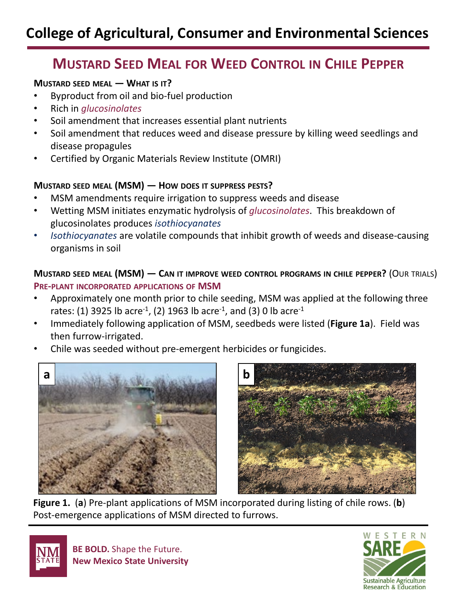# **MUSTARD SEED MEAL FOR WEED CONTROL IN CHILE PEPPER**

## **MUSTARD SEED MEAL — WHAT IS IT?**

- Byproduct from oil and bio-fuel production
- Rich in *glucosinolates*
- Soil amendment that increases essential plant nutrients
- Soil amendment that reduces weed and disease pressure by killing weed seedlings and disease propagules
- Certified by Organic Materials Review Institute (OMRI)

## **MUSTARD SEED MEAL (MSM) — HOW DOES IT SUPPRESS PESTS?**

- MSM amendments require irrigation to suppress weeds and disease
- Wetting MSM initiates enzymatic hydrolysis of *glucosinolates*. This breakdown of glucosinolates produces *isothiocyanates*
- *Isothiocyanates* are volatile compounds that inhibit growth of weeds and disease-causing organisms in soil

**MUSTARD SEED MEAL (MSM) — CAN IT IMPROVE WEED CONTROL PROGRAMS IN CHILE PEPPER?** (OUR TRIALS) **PRE-PLANT INCORPORATED APPLICATIONS OF MSM** 

- Approximately one month prior to chile seeding, MSM was applied at the following three rates: (1) 3925 lb acre<sup>-1</sup>, (2) 1963 lb acre<sup>-1</sup>, and (3) 0 lb acre<sup>-1</sup>
- Immediately following application of MSM, seedbeds were listed (**Figure 1a**). Field was then furrow-irrigated.
- Chile was seeded without pre-emergent herbicides or fungicides.





**Figure 1.** (**a**) Pre-plant applications of MSM incorporated during listing of chile rows. (**b**) Post-emergence applications of MSM directed to furrows.